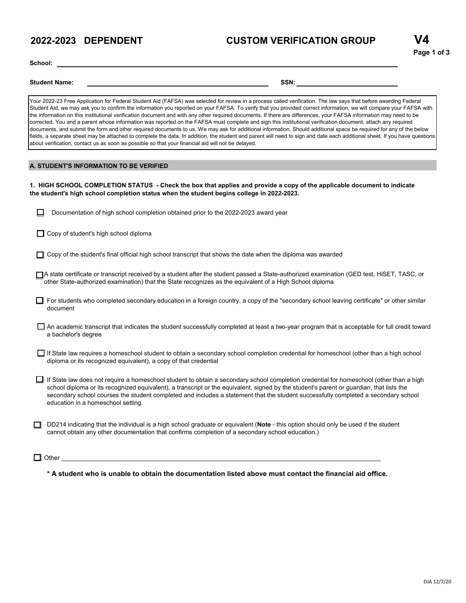## **2022-2023 DEPENDENT**

## **CUSTOM VERIFICATION GROUP**

**School:**

**Student Name: SSN:**

Your 2022-23 Free Application for Federal Student Aid (FAFSA) was selected for review in a process called verification. The law says that before awarding Federal Student Aid, we may ask you to confirm the information you reported on your FAFSA. To verify that you provided correct information, we will compare your FAFSA with the information on this institutional verification document and with any other required documents. If there are differences, your FAFSA information may need to be corrected. You and a parent whose information was reported on the FAFSA must complete and sign this institutional verification document, attach any required documents, and submit the form and other required documents to us. We may ask for additional information. Should additional space be required for any of the below fields, a separate sheet may be attached to complete the data. In addition, the student and parent will need to sign and date each additional sheet. If you have questions about verification, contact us as soon as possible so that your financial aid will not be delayed.

### **A. STUDENT'S INFORMATION TO BE VERIFIED**

1. HIGH SCHOOL COMPLETION STATUS - Check the box that applies and provide a copy of the applicable document to indicate **the student's high school completion status when the student begins college in 2022-2023.**

|  | Documentation of high school completion obtained prior to the 2022-2023 award year |  |  |  |
|--|------------------------------------------------------------------------------------|--|--|--|
|--|------------------------------------------------------------------------------------|--|--|--|

- $\Box$  Copy of student's high school diploma
- Copy of the student's final official high school transcript that shows the date when the diploma was awarded
- A state certificate or transcript received by a student after the student passed a State-authorized examination (GED test, HiSET, TASC, or other State-authorized examination) that the State recognizes as the equivalent of a High School diploma
- For students who completed secondary education in a foreign country, a copy of the "secondary school leaving certificate" or other similar document
- An academic transcript that indicates the student successfully completed at least a two-year program that is acceptable for full credit toward a bachelor's degree
- □ If State law requires a homeschool student to obtain a secondary school completion credential for homeschool (other than a high school diploma or its recognized equivalent), a copy of that credential
- □ If State law does not require a homeschool student to obtain a secondary school completion credential for homeschool (other than a high school diploma or its recognized equivalent), a transcript or the equivalent, signed by the student's parent or guardian, that lists the secondary school courses the student completed and includes a statement that the student successfully completed a secondary school education in a homeschool setting.
- DD214 indicating that the individual is a high school graduate or equivalent (**Note** this option should only be used if the student cannot obtain any other documentation that confirms completion of a secondary school education.)

### Other \_\_\_\_\_\_\_\_\_\_\_\_\_\_\_\_\_\_\_\_\_\_\_\_\_\_\_\_\_\_\_\_\_\_\_\_\_\_\_\_\_\_\_\_\_\_\_\_\_\_\_\_\_\_\_\_\_\_\_\_\_\_\_\_\_\_\_\_\_\_\_\_\_\_\_\_\_\_\_\_\_\_\_\_\_\_\_\_\_\_\_\_

**\* A student who is unable to obtain the documentation listed above must contact the financial aid office.**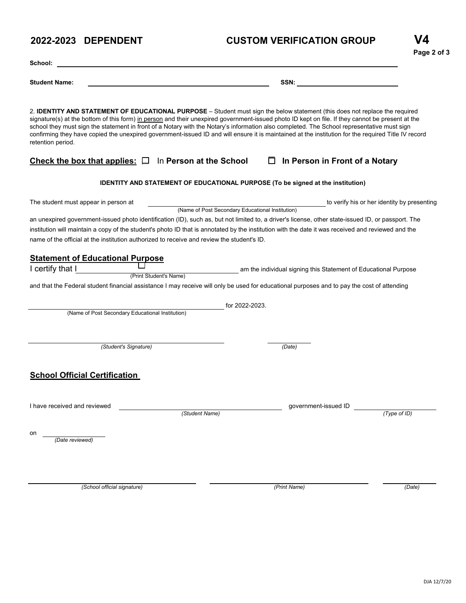# **2022-2023 DEPENDENT CUSTOM VERIFICATION GROUP**

| School:                                                                                                                                                                                                                                                                                                                                                                                                                                                    |                                                                                                                                                     |  |  |  |  |
|------------------------------------------------------------------------------------------------------------------------------------------------------------------------------------------------------------------------------------------------------------------------------------------------------------------------------------------------------------------------------------------------------------------------------------------------------------|-----------------------------------------------------------------------------------------------------------------------------------------------------|--|--|--|--|
| <b>Student Name:</b>                                                                                                                                                                                                                                                                                                                                                                                                                                       | SSN:                                                                                                                                                |  |  |  |  |
| 2. <b>IDENTITY AND STATEMENT OF EDUCATIONAL PURPOSE</b> – Student must sign the below statement (this does not replace the required<br>signature(s) at the bottom of this form) in person and their unexpired government-issued photo ID kept on file. If they cannot be present at the<br>school they must sign the statement in front of a Notary with the Notary's information also completed. The School representative must sign<br>retention period. | confirming they have copied the unexpired government-issued ID and will ensure it is maintained at the institution for the required Title IV record |  |  |  |  |
| Check the box that applies: $\square$ In Person at the School                                                                                                                                                                                                                                                                                                                                                                                              | $\Box$ In Person in Front of a Notary                                                                                                               |  |  |  |  |
|                                                                                                                                                                                                                                                                                                                                                                                                                                                            | <b>IDENTITY AND STATEMENT OF EDUCATIONAL PURPOSE (To be signed at the institution)</b>                                                              |  |  |  |  |
| The student must appear in person at                                                                                                                                                                                                                                                                                                                                                                                                                       | to verify his or her identity by presenting                                                                                                         |  |  |  |  |
| (Name of Post Secondary Educational Institution)<br>an unexpired government-issued photo identification (ID), such as, but not limited to, a driver's license, other state-issued ID, or passport. The<br>institution will maintain a copy of the student's photo ID that is annotated by the institution with the date it was received and reviewed and the<br>name of the official at the institution authorized to receive and review the student's ID. |                                                                                                                                                     |  |  |  |  |
| <b>Statement of Educational Purpose</b>                                                                                                                                                                                                                                                                                                                                                                                                                    |                                                                                                                                                     |  |  |  |  |
| I certify that I                                                                                                                                                                                                                                                                                                                                                                                                                                           | am the individual signing this Statement of Educational Purpose                                                                                     |  |  |  |  |
| (Print Student's Name)<br>and that the Federal student financial assistance I may receive will only be used for educational purposes and to pay the cost of attending                                                                                                                                                                                                                                                                                      |                                                                                                                                                     |  |  |  |  |
| (Name of Post Secondary Educational Institution)                                                                                                                                                                                                                                                                                                                                                                                                           | for 2022-2023.                                                                                                                                      |  |  |  |  |
| (Student's Signature)                                                                                                                                                                                                                                                                                                                                                                                                                                      | (Date)                                                                                                                                              |  |  |  |  |
| <b>School Official Certification</b>                                                                                                                                                                                                                                                                                                                                                                                                                       |                                                                                                                                                     |  |  |  |  |
| I have received and reviewed<br>(Student Name)                                                                                                                                                                                                                                                                                                                                                                                                             | government-issued ID<br>(Type of ID)                                                                                                                |  |  |  |  |
| on<br>(Date reviewed)                                                                                                                                                                                                                                                                                                                                                                                                                                      |                                                                                                                                                     |  |  |  |  |
|                                                                                                                                                                                                                                                                                                                                                                                                                                                            |                                                                                                                                                     |  |  |  |  |

*(School official signature) (Print Name) (Date)*